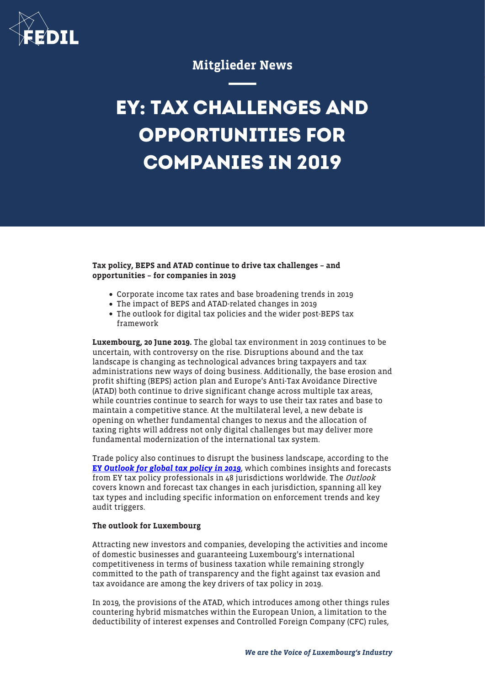

## Mitglieder News

## **EY: TAX CHALLENGES AND OPPORTUNITIES FOR COMPANIES IN 2019**

Tax policy, BEPS and ATAD continue to drive tax challenges – and opportunities – for companies in 2019

- Corporate income tax rates and base broadening trends in 2019
- The impact of BEPS and ATAD-related changes in 2019
- The outlook for digital tax policies and the wider post-BEPS tax framework

Luxembourg, 20 June 2019. The global tax environment in 2019 continues to be uncertain, with controversy on the rise. Disruptions abound and the tax landscape is changing as technological advances bring taxpayers and tax administrations new ways of doing business. Additionally, the base erosion and profit shifting (BEPS) action plan and Europe's Anti-Tax Avoidance Directive (ATAD) both continue to drive significant change across multiple tax areas, while countries continue to search for ways to use their tax rates and base to maintain a competitive stance. At the multilateral level, a new debate is opening on whether fundamental changes to nexus and the allocation of taxing rights will address not only digital challenges but may deliver more fundamental modernization of the international tax system.

Trade policy also continues to disrupt the business landscape, according to the [EY](https://www.ey.com/Publication/vwLUAssets/ey-the-outlook-for-global-tax-policy-and-controversy-in-2019/$File/ey-the-outlook-for-global-tax-policy-and-controversy-in-2019.pdf) [Outlook for global tax policy in 2019](https://www.ey.com/Publication/vwLUAssets/ey-the-outlook-for-global-tax-policy-and-controversy-in-2019/$File/ey-the-outlook-for-global-tax-policy-and-controversy-in-2019.pdf), which combines insights and forecasts from EY tax policy professionals in 48 jurisdictions worldwide. The Outlook covers known and forecast tax changes in each jurisdiction, spanning all key tax types and including specific information on enforcement trends and key audit triggers.

## The outlook for Luxembourg

Attracting new investors and companies, developing the activities and income of domestic businesses and guaranteeing Luxembourg's international competitiveness in terms of business taxation while remaining strongly committed to the path of transparency and the fight against tax evasion and tax avoidance are among the key drivers of tax policy in 2019.

In 2019, the provisions of the ATAD, which introduces among other things rules countering hybrid mismatches within the European Union, a limitation to the deductibility of interest expenses and Controlled Foreign Company (CFC) rules,